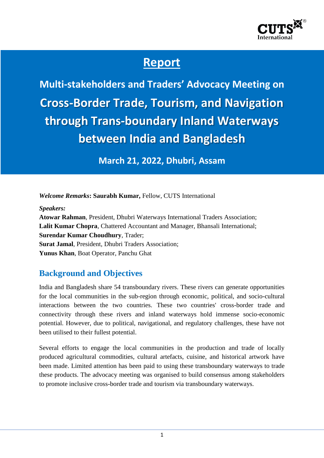

# **Report**

**Multi-stakeholders and Traders' Advocacy Meeting on Cross-Border Trade, Tourism, and Navigation through Trans-boundary Inland Waterways between India and Bangladesh**

**March 21, 2022, Dhubri, Assam**

*Welcome Remarks***: Saurabh Kumar,** Fellow, CUTS International

*Speakers:*

**Atowar Rahman**, President, Dhubri Waterways International Traders Association; **Lalit Kumar Chopra**, Chattered Accountant and Manager, Bhansali International; **Surendar Kumar Choudhury**, Trader; **Surat Jamal**, President, Dhubri Traders Association; **Yunus Khan**, Boat Operator, Panchu Ghat

#### **Background and Objectives**

India and Bangladesh share 54 transboundary rivers. These rivers can generate opportunities for the local communities in the sub-region through economic, political, and socio-cultural interactions between the two countries. These two countries' cross-border trade and connectivity through these rivers and inland waterways hold immense socio-economic potential. However, due to political, navigational, and regulatory challenges, these have not been utilised to their fullest potential.

Several efforts to engage the local communities in the production and trade of locally produced agricultural commodities, cultural artefacts, cuisine, and historical artwork have been made. Limited attention has been paid to using these transboundary waterways to trade these products. The advocacy meeting was organised to build consensus among stakeholders to promote inclusive cross-border trade and tourism via transboundary waterways.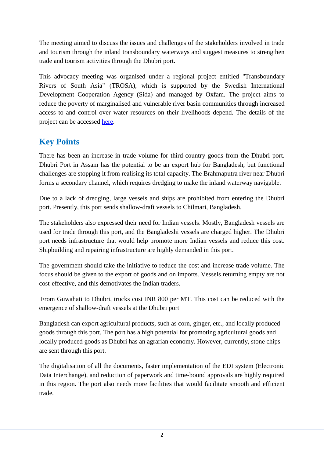The meeting aimed to discuss the issues and challenges of the stakeholders involved in trade and tourism through the inland transboundary waterways and suggest measures to strengthen trade and tourism activities through the Dhubri port.

This advocacy meeting was organised under a regional project entitled "Transboundary Rivers of South Asia" (TROSA), which is supported by the Swedish International Development Cooperation Agency (Sida) and managed by Oxfam. The project aims to reduce the poverty of marginalised and vulnerable river basin communities through increased access to and control over water resources on their livelihoods depend. The details of the project can be accessed [here.](https://cuts-citee.org/trans-boundary-rivers-of-south-asia-trosa/)

## **Key Points**

There has been an increase in trade volume for third-country goods from the Dhubri port. Dhubri Port in Assam has the potential to be an export hub for Bangladesh, but functional challenges are stopping it from realising its total capacity. The Brahmaputra river near Dhubri forms a secondary channel, which requires dredging to make the inland waterway navigable.

Due to a lack of dredging, large vessels and ships are prohibited from entering the Dhubri port. Presently, this port sends shallow-draft vessels to Chilmari, Bangladesh.

The stakeholders also expressed their need for Indian vessels. Mostly, Bangladesh vessels are used for trade through this port, and the Bangladeshi vessels are charged higher. The Dhubri port needs infrastructure that would help promote more Indian vessels and reduce this cost. Shipbuilding and repairing infrastructure are highly demanded in this port.

The government should take the initiative to reduce the cost and increase trade volume. The focus should be given to the export of goods and on imports. Vessels returning empty are not cost-effective, and this demotivates the Indian traders.

From Guwahati to Dhubri, trucks cost INR 800 per MT. This cost can be reduced with the emergence of shallow-draft vessels at the Dhubri port

Bangladesh can export agricultural products, such as corn, ginger, etc., and locally produced goods through this port. The port has a high potential for promoting agricultural goods and locally produced goods as Dhubri has an agrarian economy. However, currently, stone chips are sent through this port.

The digitalisation of all the documents, faster implementation of the EDI system (Electronic Data Interchange), and reduction of paperwork and time-bound approvals are highly required in this region. The port also needs more facilities that would facilitate smooth and efficient trade.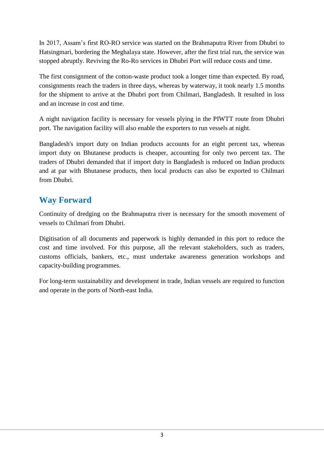In 2017, Assam's first RO-RO service was started on the Brahmaputra River from Dhubri to Hatsingmari, bordering the Meghalaya state. However, after the first trial run, the service was stopped abruptly. Reviving the Ro-Ro services in Dhubri Port will reduce costs and time.

The first consignment of the cotton-waste product took a longer time than expected. By road, consignments reach the traders in three days, whereas by waterway, it took nearly 1.5 months for the shipment to arrive at the Dhubri port from Chilmari, Bangladesh. It resulted in loss and an increase in cost and time.

A night navigation facility is necessary for vessels plying in the PIWTT route from Dhubri port. The navigation facility will also enable the exporters to run vessels at night.

Bangladesh's import duty on Indian products accounts for an eight percent tax, whereas import duty on Bhutanese products is cheaper, accounting for only two percent tax. The traders of Dhubri demanded that if import duty in Bangladesh is reduced on Indian products and at par with Bhutanese products, then local products can also be exported to Chilmari from Dhubri.

#### **Way Forward**

Continuity of dredging on the Brahmaputra river is necessary for the smooth movement of vessels to Chilmari from Dhubri.

Digitisation of all documents and paperwork is highly demanded in this port to reduce the cost and time involved. For this purpose, all the relevant stakeholders, such as traders, customs officials, bankers, etc., must undertake awareness generation workshops and capacity-building programmes.

For long-term sustainability and development in trade, Indian vessels are required to function and operate in the ports of North-east India.